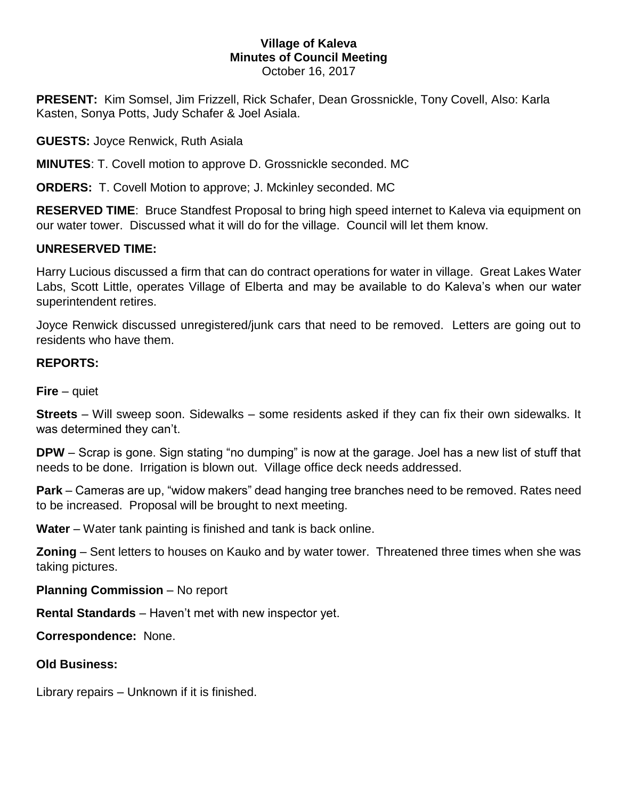## **Village of Kaleva Minutes of Council Meeting** October 16, 2017

**PRESENT:** Kim Somsel, Jim Frizzell, Rick Schafer, Dean Grossnickle, Tony Covell, Also: Karla Kasten, Sonya Potts, Judy Schafer & Joel Asiala.

**GUESTS:** Joyce Renwick, Ruth Asiala

**MINUTES**: T. Covell motion to approve D. Grossnickle seconded. MC

**ORDERS:** T. Covell Motion to approve; J. Mckinley seconded. MC

**RESERVED TIME**: Bruce Standfest Proposal to bring high speed internet to Kaleva via equipment on our water tower. Discussed what it will do for the village. Council will let them know.

## **UNRESERVED TIME:**

Harry Lucious discussed a firm that can do contract operations for water in village. Great Lakes Water Labs, Scott Little, operates Village of Elberta and may be available to do Kaleva's when our water superintendent retires.

Joyce Renwick discussed unregistered/junk cars that need to be removed. Letters are going out to residents who have them.

## **REPORTS:**

**Fire** – quiet

**Streets** – Will sweep soon. Sidewalks – some residents asked if they can fix their own sidewalks. It was determined they can't.

**DPW** – Scrap is gone. Sign stating "no dumping" is now at the garage. Joel has a new list of stuff that needs to be done. Irrigation is blown out. Village office deck needs addressed.

**Park** – Cameras are up, "widow makers" dead hanging tree branches need to be removed. Rates need to be increased. Proposal will be brought to next meeting.

**Water** – Water tank painting is finished and tank is back online.

**Zoning** – Sent letters to houses on Kauko and by water tower. Threatened three times when she was taking pictures.

**Planning Commission** – No report

**Rental Standards** – Haven't met with new inspector yet.

**Correspondence:** None.

**Old Business:** 

Library repairs – Unknown if it is finished.